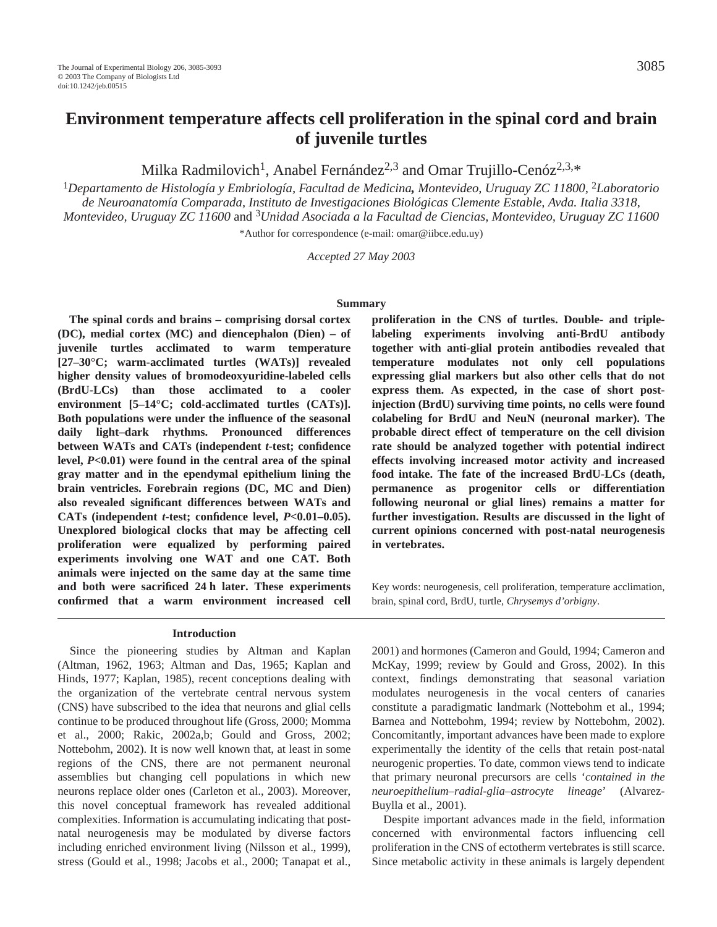# **Environment temperature affects cell proliferation in the spinal cord and brain of juvenile turtles**

Milka Radmilovich<sup>1</sup>, Anabel Fernández<sup>2,3</sup> and Omar Trujillo-Cenóz<sup>2,3,\*</sup>

<sup>1</sup>*Departamento de Histología y Embriología, Facultad de Medicina, Montevideo, Uruguay ZC 11800,* 2*Laboratorio de Neuroanatomía Comparada, Instituto de Investigaciones Biológicas Clemente Estable, Avda. Italia 3318, Montevideo, Uruguay ZC 11600* and 3*Unidad Asociada a la Facultad de Ciencias, Montevideo, Uruguay ZC 11600*

\*Author for correspondence (e-mail: omar@iibce.edu.uy)

*Accepted 27 May 2003*

### **Summary**

**The spinal cords and brains – comprising dorsal cortex (DC), medial cortex (MC) and diencephalon (Dien) – of juvenile turtles acclimated to warm temperature [27–30°C; warm-acclimated turtles (WATs)] revealed higher density values of bromodeoxyuridine-labeled cells (BrdU-LCs) than those acclimated to a cooler environment [5–14°C; cold-acclimated turtles (CATs)]. Both populations were under the influence of the seasonal daily light–dark rhythms. Pronounced differences between WATs and CATs (independent** *t***-test; confidence level,** *P***<0.01) were found in the central area of the spinal gray matter and in the ependymal epithelium lining the brain ventricles. Forebrain regions (DC, MC and Dien) also revealed significant differences between WATs and CATs (independent** *t***-test; confidence level,** *P***<0.01–0.05). Unexplored biological clocks that may be affecting cell proliferation were equalized by performing paired experiments involving one WAT and one CAT. Both animals were injected on the same day at the same time** and both were sacrificed 24 h later. These experiments **confirmed that a warm environment increased cell**

#### **Introduction**

Since the pioneering studies by Altman and Kaplan (Altman, 1962, 1963; Altman and Das, 1965; Kaplan and Hinds, 1977; Kaplan, 1985), recent conceptions dealing with the organization of the vertebrate central nervous system (CNS) have subscribed to the idea that neurons and glial cells continue to be produced throughout life (Gross, 2000; Momma et al., 2000; Rakic, 2002a,b; Gould and Gross, 2002; Nottebohm, 2002). It is now well known that, at least in some regions of the CNS, there are not permanent neuronal assemblies but changing cell populations in which new neurons replace older ones (Carleton et al., 2003). Moreover, this novel conceptual framework has revealed additional complexities. Information is accumulating indicating that postnatal neurogenesis may be modulated by diverse factors including enriched environment living (Nilsson et al., 1999), stress (Gould et al., 1998; Jacobs et al., 2000; Tanapat et al.,

**proliferation in the CNS of turtles. Double- and triplelabeling experiments involving anti-BrdU antibody together with anti-glial protein antibodies revealed that temperature modulates not only cell populations expressing glial markers but also other cells that do not express them. As expected, in the case of short postinjection (BrdU) surviving time points, no cells were found colabeling for BrdU and NeuN (neuronal marker). The probable direct effect of temperature on the cell division rate should be analyzed together with potential indirect effects involving increased motor activity and increased food intake. The fate of the increased BrdU-LCs (death, permanence as progenitor cells or differentiation following neuronal or glial lines) remains a matter for further investigation. Results are discussed in the light of current opinions concerned with post-natal neurogenesis in vertebrates.** 

Key words: neurogenesis, cell proliferation, temperature acclimation, brain, spinal cord, BrdU, turtle, *Chrysemys d'orbigny*.

2001) and hormones (Cameron and Gould, 1994; Cameron and McKay, 1999; review by Gould and Gross, 2002). In this context, findings demonstrating that seasonal variation modulates neurogenesis in the vocal centers of canaries constitute a paradigmatic landmark (Nottebohm et al., 1994; Barnea and Nottebohm, 1994; review by Nottebohm, 2002). Concomitantly, important advances have been made to explore experimentally the identity of the cells that retain post-natal neurogenic properties. To date, common views tend to indicate that primary neuronal precursors are cells '*contained in the neuroepithelium–radial-glia–astrocyte lineage*' (Alvarez-Buylla et al., 2001).

Despite important advances made in the field, information concerned with environmental factors influencing cell proliferation in the CNS of ectotherm vertebrates is still scarce. Since metabolic activity in these animals is largely dependent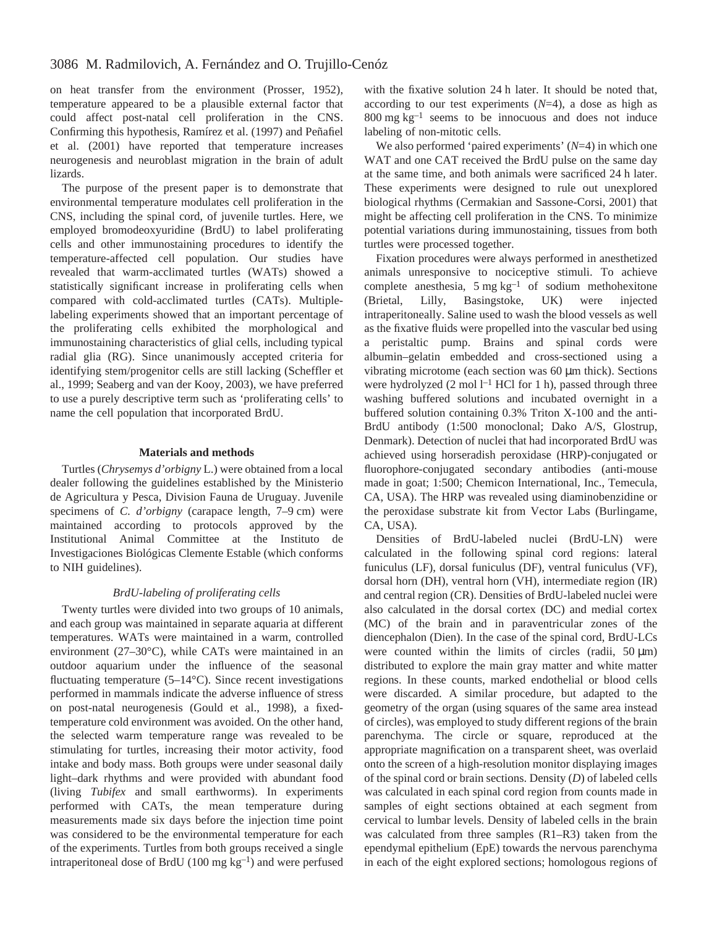on heat transfer from the environment (Prosser, 1952), temperature appeared to be a plausible external factor that could affect post-natal cell proliferation in the CNS. Confirming this hypothesis, Ramírez et al. (1997) and Peñafiel et al. (2001) have reported that temperature increases neurogenesis and neuroblast migration in the brain of adult lizards.

The purpose of the present paper is to demonstrate that environmental temperature modulates cell proliferation in the CNS, including the spinal cord, of juvenile turtles. Here, we employed bromodeoxyuridine (BrdU) to label proliferating cells and other immunostaining procedures to identify the temperature-affected cell population. Our studies have revealed that warm-acclimated turtles (WATs) showed a statistically significant increase in proliferating cells when compared with cold-acclimated turtles (CATs). Multiplelabeling experiments showed that an important percentage of the proliferating cells exhibited the morphological and immunostaining characteristics of glial cells, including typical radial glia (RG). Since unanimously accepted criteria for identifying stem/progenitor cells are still lacking (Scheffler et al., 1999; Seaberg and van der Kooy, 2003), we have preferred to use a purely descriptive term such as 'proliferating cells' to name the cell population that incorporated BrdU.

### **Materials and methods**

Turtles (*Chrysemys d'orbigny* L.) were obtained from a local dealer following the guidelines established by the Ministerio de Agricultura y Pesca, Division Fauna de Uruguay. Juvenile specimens of *C. d'orbigny* (carapace length, 7–9 cm) were maintained according to protocols approved by the Institutional Animal Committee at the Instituto de Investigaciones Biológicas Clemente Estable (which conforms to NIH guidelines).

### *BrdU-labeling of proliferating cells*

Twenty turtles were divided into two groups of 10 animals, and each group was maintained in separate aquaria at different temperatures. WATs were maintained in a warm, controlled environment (27–30°C), while CATs were maintained in an outdoor aquarium under the influence of the seasonal fluctuating temperature (5–14°C). Since recent investigations performed in mammals indicate the adverse influence of stress on post-natal neurogenesis (Gould et al., 1998), a fixedtemperature cold environment was avoided. On the other hand, the selected warm temperature range was revealed to be stimulating for turtles, increasing their motor activity, food intake and body mass. Both groups were under seasonal daily light–dark rhythms and were provided with abundant food (living *Tubifex* and small earthworms). In experiments performed with CATs, the mean temperature during measurements made six days before the injection time point was considered to be the environmental temperature for each of the experiments. Turtles from both groups received a single intraperitoneal dose of BrdU (100 mg  $kg^{-1}$ ) and were perfused

with the fixative solution 24 h later. It should be noted that, according to our test experiments (*N*=4), a dose as high as  $800~mg~kg^{-1}$  seems to be innocuous and does not induce labeling of non-mitotic cells.

We also performed 'paired experiments' (*N*=4) in which one WAT and one CAT received the BrdU pulse on the same day at the same time, and both animals were sacrificed 24 h later. These experiments were designed to rule out unexplored biological rhythms (Cermakian and Sassone-Corsi, 2001) that might be affecting cell proliferation in the CNS. To minimize potential variations during immunostaining, tissues from both turtles were processed together.

Fixation procedures were always performed in anesthetized animals unresponsive to nociceptive stimuli. To achieve complete anesthesia,  $5 \text{ mg kg}^{-1}$  of sodium methohexitone (Brietal, Lilly, Basingstoke, UK) were injected intraperitoneally. Saline used to wash the blood vessels as well as the fixative fluids were propelled into the vascular bed using a peristaltic pump. Brains and spinal cords were albumin–gelatin embedded and cross-sectioned using a vibrating microtome (each section was  $60 \mu m$  thick). Sections were hydrolyzed  $(2 \text{ mol } l^{-1} \text{ HCl}$  for 1 h), passed through three washing buffered solutions and incubated overnight in a buffered solution containing 0.3% Triton X-100 and the anti-BrdU antibody (1:500 monoclonal; Dako A/S, Glostrup, Denmark). Detection of nuclei that had incorporated BrdU was achieved using horseradish peroxidase (HRP)-conjugated or fluorophore-conjugated secondary antibodies (anti-mouse made in goat; 1:500; Chemicon International, Inc., Temecula, CA, USA). The HRP was revealed using diaminobenzidine or the peroxidase substrate kit from Vector Labs (Burlingame, CA, USA).

Densities of BrdU-labeled nuclei (BrdU-LN) were calculated in the following spinal cord regions: lateral funiculus (LF), dorsal funiculus (DF), ventral funiculus (VF), dorsal horn (DH), ventral horn (VH), intermediate region (IR) and central region (CR). Densities of BrdU-labeled nuclei were also calculated in the dorsal cortex (DC) and medial cortex (MC) of the brain and in paraventricular zones of the diencephalon (Dien). In the case of the spinal cord, BrdU-LCs were counted within the limits of circles (radii,  $50 \mu m$ ) distributed to explore the main gray matter and white matter regions. In these counts, marked endothelial or blood cells were discarded. A similar procedure, but adapted to the geometry of the organ (using squares of the same area instead of circles), was employed to study different regions of the brain parenchyma. The circle or square, reproduced at the appropriate magnification on a transparent sheet, was overlaid onto the screen of a high-resolution monitor displaying images of the spinal cord or brain sections. Density (*D*) of labeled cells was calculated in each spinal cord region from counts made in samples of eight sections obtained at each segment from cervical to lumbar levels. Density of labeled cells in the brain was calculated from three samples (R1–R3) taken from the ependymal epithelium (EpE) towards the nervous parenchyma in each of the eight explored sections; homologous regions of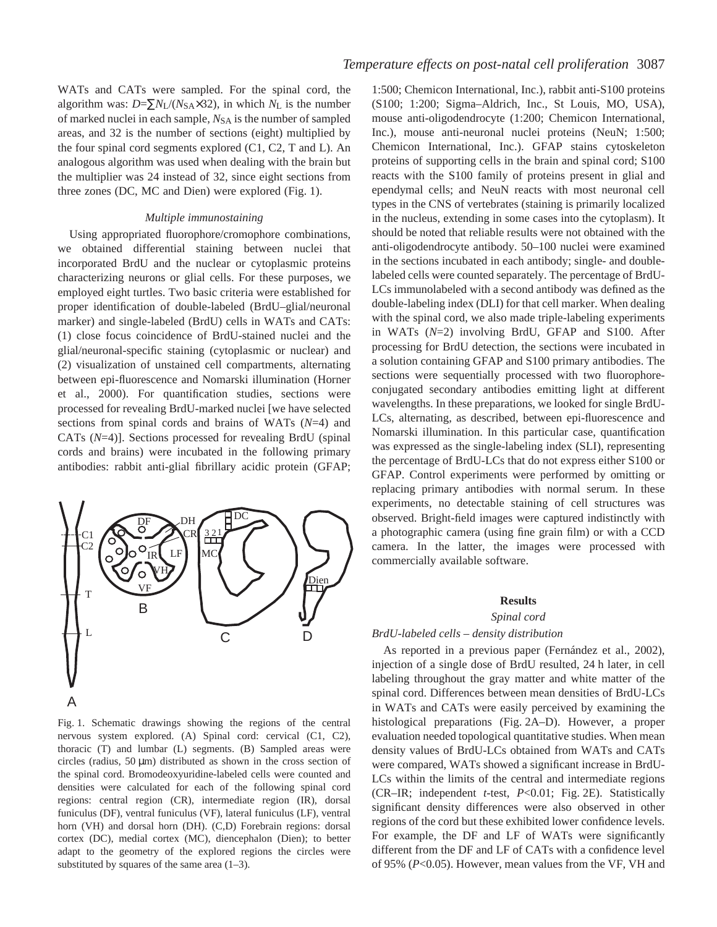WATs and CATs were sampled. For the spinal cord, the algorithm was:  $D=\sum N_L/(N_{SA}\times 32)$ , in which  $N_L$  is the number of marked nuclei in each sample,  $N_{SA}$  is the number of sampled areas, and 32 is the number of sections (eight) multiplied by the four spinal cord segments explored (C1, C2, T and L). An analogous algorithm was used when dealing with the brain but the multiplier was 24 instead of 32, since eight sections from three zones (DC, MC and Dien) were explored (Fig.  $1$ ).

# *Multiple immunostaining*

Using appropriated fluorophore/cromophore combinations, we obtained differential staining between nuclei that incorporated BrdU and the nuclear or cytoplasmic proteins characterizing neurons or glial cells. For these purposes, we employed eight turtles. Two basic criteria were established for proper identification of double-labeled (BrdU–glial/neuronal marker) and single-labeled (BrdU) cells in WATs and CATs: (1) close focus coincidence of BrdU-stained nuclei and the glial/neuronal-specific staining (cytoplasmic or nuclear) and (2) visualization of unstained cell compartments, alternating between epi-fluorescence and Nomarski illumination (Horner et al., 2000). For quantification studies, sections were processed for revealing BrdU-marked nuclei [we have selected sections from spinal cords and brains of WATs (*N*=4) and CATs (*N*=4)]. Sections processed for revealing BrdU (spinal cords and brains) were incubated in the following primary antibodies: rabbit anti-glial fibrillary acidic protein (GFAP;



Fig. 1. Schematic drawings showing the regions of the central nervous system explored. (A) Spinal cord: cervical (C1, C2), thoracic (T) and lumbar (L) segments. (B) Sampled areas were circles (radius,  $50 \mu m$ ) distributed as shown in the cross section of the spinal cord. Bromodeoxyuridine-labeled cells were counted and densities were calculated for each of the following spinal cord regions: central region (CR), intermediate region (IR), dorsal funiculus (DF), ventral funiculus (VF), lateral funiculus (LF), ventral horn (VH) and dorsal horn (DH). (C,D) Forebrain regions: dorsal cortex (DC), medial cortex (MC), diencephalon (Dien); to better adapt to the geometry of the explored regions the circles were substituted by squares of the same area  $(1-3)$ .

1:500; Chemicon International, Inc.), rabbit anti-S100 proteins (S100; 1:200; Sigma–Aldrich, Inc., St Louis, MO, USA), mouse anti-oligodendrocyte (1:200; Chemicon International, Inc.), mouse anti-neuronal nuclei proteins (NeuN; 1:500; Chemicon International, Inc.). GFAP stains cytoskeleton proteins of supporting cells in the brain and spinal cord; S100 reacts with the S100 family of proteins present in glial and ependymal cells; and NeuN reacts with most neuronal cell types in the CNS of vertebrates (staining is primarily localized in the nucleus, extending in some cases into the cytoplasm). It should be noted that reliable results were not obtained with the anti-oligodendrocyte antibody. 50–100 nuclei were examined in the sections incubated in each antibody; single- and doublelabeled cells were counted separately. The percentage of BrdU-LCs immunolabeled with a second antibody was defined as the double-labeling index (DLI) for that cell marker. When dealing with the spinal cord, we also made triple-labeling experiments in WATs (*N*=2) involving BrdU, GFAP and S100. After processing for BrdU detection, the sections were incubated in a solution containing GFAP and S100 primary antibodies. The sections were sequentially processed with two fluorophoreconjugated secondary antibodies emitting light at different wavelengths. In these preparations, we looked for single BrdU-LCs, alternating, as described, between epi-fluorescence and Nomarski illumination. In this particular case, quantification was expressed as the single-labeling index (SLI), representing the percentage of BrdU-LCs that do not express either S100 or GFAP. Control experiments were performed by omitting or replacing primary antibodies with normal serum. In these experiments, no detectable staining of cell structures was observed. Bright-field images were captured indistinctly with a photographic camera (using fine grain film) or with a CCD camera. In the latter, the images were processed with commercially available software.

### **Results**

### *Spinal cord*

#### *BrdU-labeled cells – density distribution*

As reported in a previous paper (Fernández et al., 2002), injection of a single dose of BrdU resulted, 24 h later, in cell labeling throughout the gray matter and white matter of the spinal cord. Differences between mean densities of BrdU-LCs in WATs and CATs were easily perceived by examining the histological preparations (Fig. 2A–D). However, a proper evaluation needed topological quantitative studies. When mean density values of BrdU-LCs obtained from WATs and CATs were compared, WATs showed a significant increase in BrdU-LCs within the limits of the central and intermediate regions (CR–IR; independent *t*-test,  $P < 0.01$ ; Fig. 2E). Statistically significant density differences were also observed in other regions of the cord but these exhibited lower confidence levels. For example, the DF and LF of WATs were significantly different from the DF and LF of CATs with a confidence level of 95% (*P*<0.05). However, mean values from the VF, VH and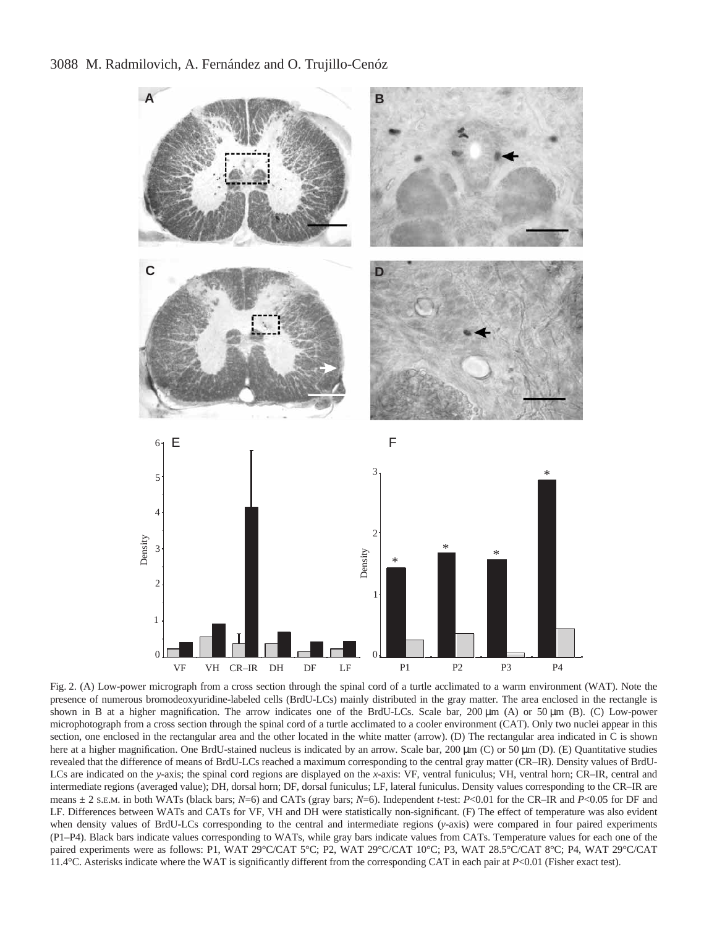# 3088 M. Radmilovich, A. Fernández and O. Trujillo-Cenóz



Fig. 2. (A) Low-power micrograph from a cross section through the spinal cord of a turtle acclimated to a warm environment (WAT). Note the presence of numerous bromodeoxyuridine-labeled cells (BrdU-LCs) mainly distributed in the gray matter. The area enclosed in the rectangle is shown in B at a higher magnification. The arrow indicates one of the BrdU-LCs. Scale bar,  $200 \mu m$  (A) or  $50 \mu m$  (B). (C) Low-power microphotograph from a cross section through the spinal cord of a turtle acclimated to a cooler environment (CAT). Only two nuclei appear in this section, one enclosed in the rectangular area and the other located in the white matter (arrow). (D) The rectangular area indicated in C is shown here at a higher magnification. One BrdU-stained nucleus is indicated by an arrow. Scale bar, 200  $\mu$ m (C) or 50  $\mu$ m (D). (E) Quantitative studies revealed that the difference of means of BrdU-LCs reached a maximum corresponding to the central gray matter (CR–IR). Density values of BrdU-LCs are indicated on the *y*-axis; the spinal cord regions are displayed on the *x*-axis: VF, ventral funiculus; VH, ventral horn; CR–IR, central and intermediate regions (averaged value); DH, dorsal horn; DF, dorsal funiculus; LF, lateral funiculus. Density values corresponding to the CR–IR are means ± 2 S.E.M. in both WATs (black bars; *N*=6) and CATs (gray bars; *N*=6). Independent *t*-test: *P*<0.01 for the CR–IR and *P*<0.05 for DF and LF. Differences between WATs and CATs for VF, VH and DH were statistically non-significant. (F) The effect of temperature was also evident when density values of BrdU-LCs corresponding to the central and intermediate regions (*y*-axis) were compared in four paired experiments (P1–P4). Black bars indicate values corresponding to WATs, while gray bars indicate values from CATs. Temperature values for each one of the paired experiments were as follows: P1, WAT 29°C/CAT 5°C; P2, WAT 29°C/CAT 10°C; P3, WAT 28.5°C/CAT 8°C; P4, WAT 29°C/CAT 11.4°C. Asterisks indicate where the WAT is significantly different from the corresponding CAT in each pair at *P*<0.01 (Fisher exact test).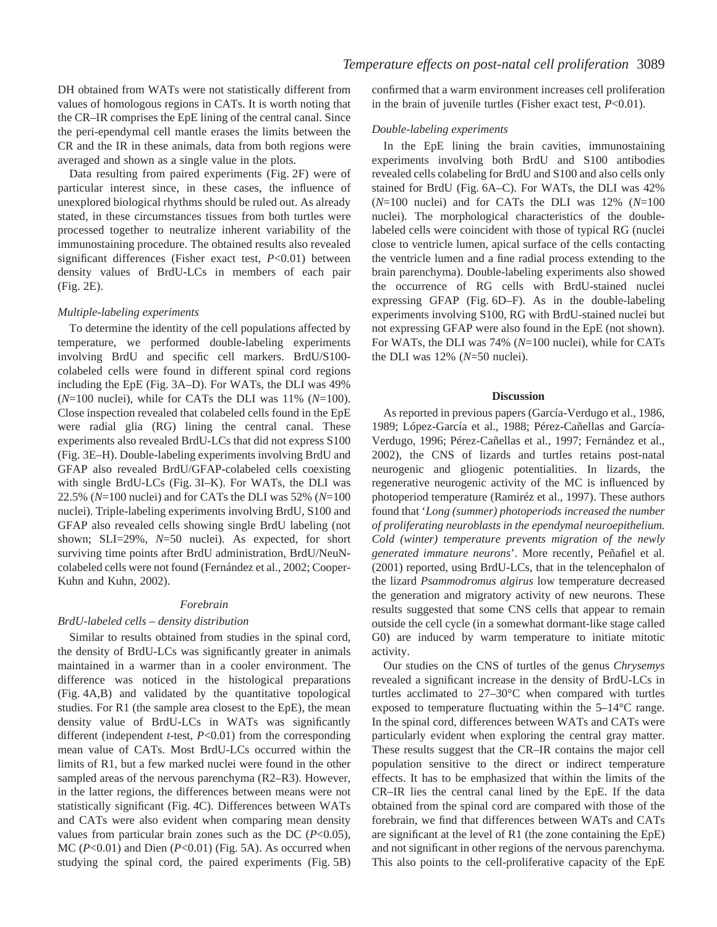DH obtained from WATs were not statistically different from values of homologous regions in CATs. It is worth noting that the CR–IR comprises the EpE lining of the central canal. Since the peri-ependymal cell mantle erases the limits between the CR and the IR in these animals, data from both regions were averaged and shown as a single value in the plots.

Data resulting from paired experiments (Fig. 2F) were of particular interest since, in these cases, the influence of unexplored biological rhythms should be ruled out. As already stated, in these circumstances tissues from both turtles were processed together to neutralize inherent variability of the immunostaining procedure. The obtained results also revealed significant differences (Fisher exact test, *P*<0.01) between density values of BrdU-LCs in members of each pair  $(Fig. 2E)$ .

### *Multiple-labeling experiments*

To determine the identity of the cell populations affected by temperature, we performed double-labeling experiments involving BrdU and specific cell markers. BrdU/S100 colabeled cells were found in different spinal cord regions including the EpE (Fig. 3A–D). For WATs, the DLI was 49% (*N*=100 nuclei), while for CATs the DLI was 11% (*N*=100). Close inspection revealed that colabeled cells found in the EpE were radial glia (RG) lining the central canal. These experiments also revealed BrdU-LCs that did not express S100 (Fig. 3E–H). Double-labeling experiments involving BrdU and GFAP also revealed BrdU/GFAP-colabeled cells coexisting with single BrdU-LCs (Fig. 3I–K). For WATs, the DLI was 22.5% (*N*=100 nuclei) and for CATs the DLI was 52% (*N*=100 nuclei). Triple-labeling experiments involving BrdU, S100 and GFAP also revealed cells showing single BrdU labeling (not shown; SLI=29%, *N*=50 nuclei). As expected, for short surviving time points after BrdU administration, BrdU/NeuNcolabeled cells were not found (Fernández et al., 2002; Cooper-Kuhn and Kuhn, 2002).

### *Forebrain*

# *BrdU-labeled cells – density distribution*

Similar to results obtained from studies in the spinal cord, the density of BrdU-LCs was significantly greater in animals maintained in a warmer than in a cooler environment. The difference was noticed in the histological preparations (Fig. 4A,B) and validated by the quantitative topological studies. For R1 (the sample area closest to the EpE), the mean density value of BrdU-LCs in WATs was significantly different (independent *t*-test, *P*<0.01) from the corresponding mean value of CATs. Most BrdU-LCs occurred within the limits of R1, but a few marked nuclei were found in the other sampled areas of the nervous parenchyma (R2–R3). However, in the latter regions, the differences between means were not statistically significant (Fig. 4C). Differences between WATs and CATs were also evident when comparing mean density values from particular brain zones such as the DC (*P*<0.05), MC ( $P<0.01$ ) and Dien ( $P<0.01$ ) (Fig. 5A). As occurred when studying the spinal cord, the paired experiments (Fig. 5B)

confirmed that a warm environment increases cell proliferation in the brain of juvenile turtles (Fisher exact test, *P*<0.01).

# *Double-labeling experiments*

In the EpE lining the brain cavities, immunostaining experiments involving both BrdU and S100 antibodies revealed cells colabeling for BrdU and S100 and also cells only stained for BrdU (Fig. 6A–C). For WATs, the DLI was 42% (*N*=100 nuclei) and for CATs the DLI was 12% (*N*=100 nuclei). The morphological characteristics of the doublelabeled cells were coincident with those of typical RG (nuclei close to ventricle lumen, apical surface of the cells contacting the ventricle lumen and a fine radial process extending to the brain parenchyma). Double-labeling experiments also showed the occurrence of RG cells with BrdU-stained nuclei expressing GFAP (Fig. 6D–F). As in the double-labeling experiments involving S100, RG with BrdU-stained nuclei but not expressing GFAP were also found in the EpE (not shown). For WATs, the DLI was 74% (*N*=100 nuclei), while for CATs the DLI was 12% (*N*=50 nuclei).

### **Discussion**

As reported in previous papers (García-Verdugo et al., 1986, 1989; López-García et al., 1988; Pérez-Cañellas and García-Verdugo, 1996; Pérez-Cañellas et al., 1997; Fernández et al., 2002), the CNS of lizards and turtles retains post-natal neurogenic and gliogenic potentialities. In lizards, the regenerative neurogenic activity of the MC is influenced by photoperiod temperature (Ramiréz et al., 1997). These authors found that '*Long (summer) photoperiods increased the number of proliferating neuroblasts in the ependymal neuroepithelium. Cold (winter) temperature prevents migration of the newly generated immature neurons*'. More recently, Peñafiel et al. (2001) reported, using BrdU-LCs, that in the telencephalon of the lizard *Psammodromus algirus* low temperature decreased the generation and migratory activity of new neurons. These results suggested that some CNS cells that appear to remain outside the cell cycle (in a somewhat dormant-like stage called G0) are induced by warm temperature to initiate mitotic activity.

Our studies on the CNS of turtles of the genus *Chrysemys* revealed a significant increase in the density of BrdU-LCs in turtles acclimated to 27–30°C when compared with turtles exposed to temperature fluctuating within the 5–14°C range. In the spinal cord, differences between WATs and CATs were particularly evident when exploring the central gray matter. These results suggest that the CR–IR contains the major cell population sensitive to the direct or indirect temperature effects. It has to be emphasized that within the limits of the CR–IR lies the central canal lined by the EpE. If the data obtained from the spinal cord are compared with those of the forebrain, we find that differences between WATs and CATs are significant at the level of R1 (the zone containing the EpE) and not significant in other regions of the nervous parenchyma. This also points to the cell-proliferative capacity of the EpE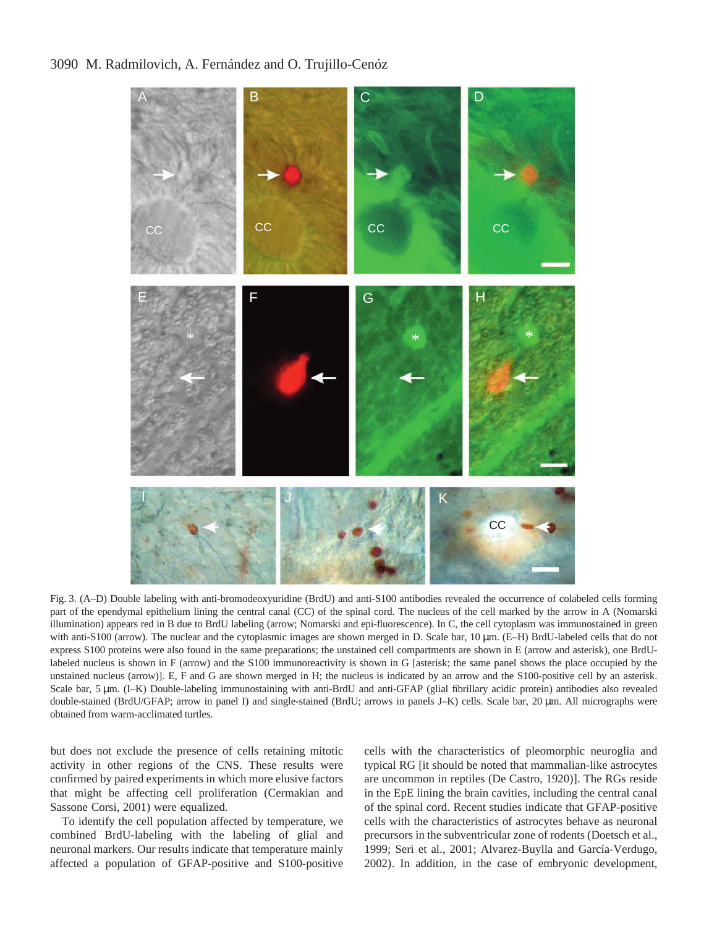# 3090 M. Radmilovich, A. Fernández and O. Trujillo-Cenóz



Fig. 3. (A–D) Double labeling with anti-bromodeoxyuridine (BrdU) and anti-S100 antibodies revealed the occurrence of colabeled cells forming part of the ependymal epithelium lining the central canal (CC) of the spinal cord. The nucleus of the cell marked by the arrow in A (Nomarski illumination) appears red in B due to BrdU labeling (arrow; Nomarski and epi-fluorescence). In C, the cell cytoplasm was immunostained in green with anti-S100 (arrow). The nuclear and the cytoplasmic images are shown merged in D. Scale bar, 10 µm. (E–H) BrdU-labeled cells that do not express S100 proteins were also found in the same preparations; the unstained cell compartments are shown in E (arrow and asterisk), one BrdUlabeled nucleus is shown in F (arrow) and the S100 immunoreactivity is shown in G [asterisk; the same panel shows the place occupied by the unstained nucleus (arrow)]. E, F and G are shown merged in H; the nucleus is indicated by an arrow and the S100-positive cell by an asterisk. Scale bar, 5 µm. (I–K) Double-labeling immunostaining with anti-BrdU and anti-GFAP (glial fibrillary acidic protein) antibodies also revealed double-stained (BrdU/GFAP; arrow in panel I) and single-stained (BrdU; arrows in panels J–K) cells. Scale bar, 20 µm. All micrographs were obtained from warm-acclimated turtles.

but does not exclude the presence of cells retaining mitotic activity in other regions of the CNS. These results were confirmed by paired experiments in which more elusive factors that might be affecting cell proliferation (Cermakian and Sassone Corsi, 2001) were equalized.

To identify the cell population affected by temperature, we combined BrdU-labeling with the labeling of glial and neuronal markers. Our results indicate that temperature mainly affected a population of GFAP-positive and S100-positive

cells with the characteristics of pleomorphic neuroglia and typical RG [it should be noted that mammalian-like astrocytes are uncommon in reptiles (De Castro, 1920)]. The RGs reside in the EpE lining the brain cavities, including the central canal of the spinal cord. Recent studies indicate that GFAP-positive cells with the characteristics of astrocytes behave as neuronal precursors in the subventricular zone of rodents (Doetsch et al., 1999; Seri et al., 2001; Alvarez-Buylla and García-Verdugo, 2002). In addition, in the case of embryonic development,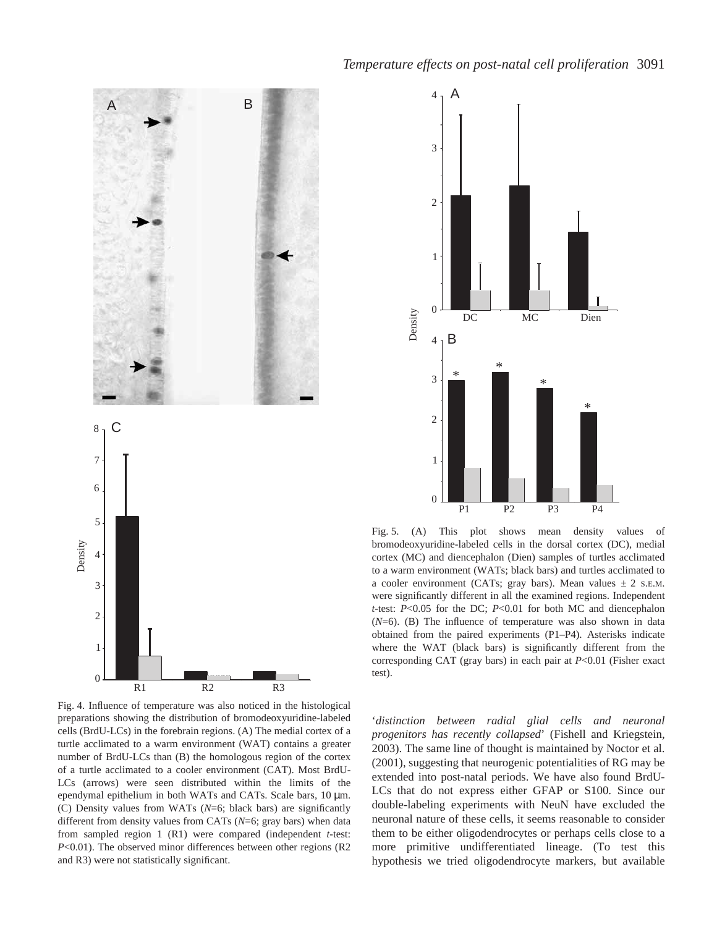

preparations showing the distribution of bromodeoxyuridine-labeled cells (BrdU-LCs) in the forebrain regions. (A) The medial cortex of a turtle acclimated to a warm environment (WAT) contains a greater number of BrdU-LCs than (B) the homologous region of the cortex of a turtle acclimated to a cooler environment (CAT). Most BrdU-LCs (arrows) were seen distributed within the limits of the ependymal epithelium in both WATs and CATs. Scale bars,  $10 \mu m$ . (C) Density values from WATs (*N*=6; black bars) are significantly different from density values from CATs (*N*=6; gray bars) when data from sampled region 1 (R1) were compared (independent *t*-test: *P*<0.01). The observed minor differences between other regions (R2 and R3) were not statistically significant.



Fig. 5. (A) This plot shows mean density values of bromodeoxyuridine-labeled cells in the dorsal cortex (DC), medial cortex (MC) and diencephalon (Dien) samples of turtles acclimated to a warm environment (WATs; black bars) and turtles acclimated to a cooler environment (CATs; gray bars). Mean values  $\pm$  2 s.E.M. were significantly different in all the examined regions. Independent *t*-test: *P*<0.05 for the DC; *P*<0.01 for both MC and diencephalon (*N*=6). (B) The influence of temperature was also shown in data obtained from the paired experiments (P1–P4). Asterisks indicate where the WAT (black bars) is significantly different from the corresponding CAT (gray bars) in each pair at *P*<0.01 (Fisher exact test).

'*distinction between radial glial cells and neuronal progenitors has recently collapsed*' (Fishell and Kriegstein, 2003). The same line of thought is maintained by Noctor et al. (2001), suggesting that neurogenic potentialities of RG may be extended into post-natal periods. We have also found BrdU-LCs that do not express either GFAP or S100. Since our double-labeling experiments with NeuN have excluded the neuronal nature of these cells, it seems reasonable to consider them to be either oligodendrocytes or perhaps cells close to a more primitive undifferentiated lineage. (To test this hypothesis we tried oligodendrocyte markers, but available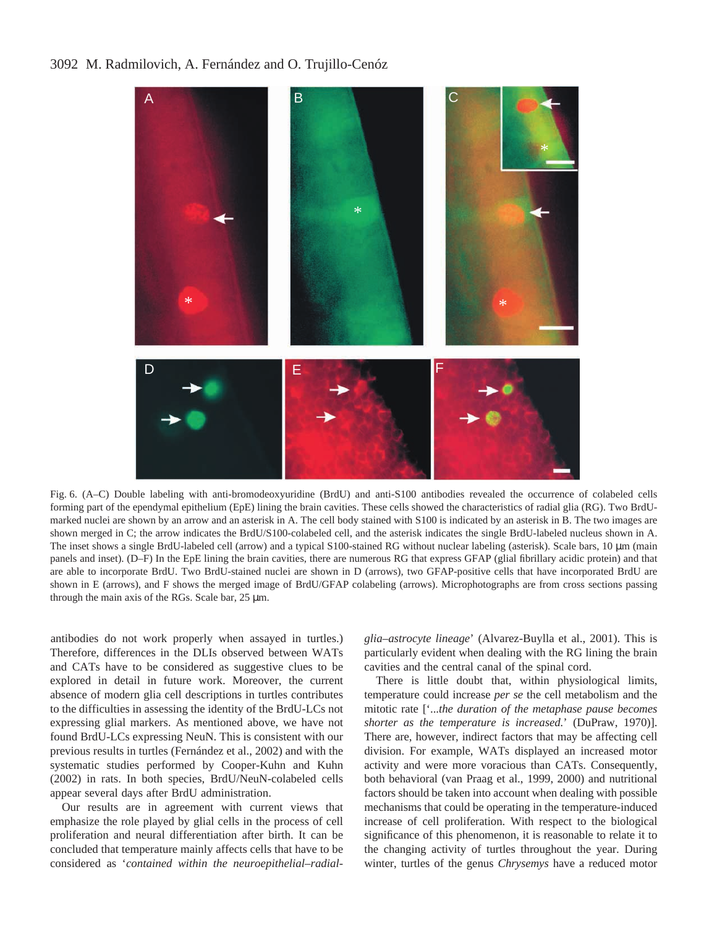# 3092 M. Radmilovich, A. Fernández and O. Trujillo-Cenóz



Fig. 6. (A–C) Double labeling with anti-bromodeoxyuridine (BrdU) and anti-S100 antibodies revealed the occurrence of colabeled cells forming part of the ependymal epithelium (EpE) lining the brain cavities. These cells showed the characteristics of radial glia (RG). Two BrdUmarked nuclei are shown by an arrow and an asterisk in A. The cell body stained with S100 is indicated by an asterisk in B. The two images are shown merged in C; the arrow indicates the BrdU/S100-colabeled cell, and the asterisk indicates the single BrdU-labeled nucleus shown in A. The inset shows a single BrdU-labeled cell (arrow) and a typical S100-stained RG without nuclear labeling (asterisk). Scale bars, 10  $\mu$ m (main panels and inset). (D–F) In the EpE lining the brain cavities, there are numerous RG that express GFAP (glial fibrillary acidic protein) and that are able to incorporate BrdU. Two BrdU-stained nuclei are shown in D (arrows), two GFAP-positive cells that have incorporated BrdU are shown in E (arrows), and F shows the merged image of BrdU/GFAP colabeling (arrows). Microphotographs are from cross sections passing through the main axis of the RGs. Scale bar,  $25 \mu m$ .

antibodies do not work properly when assayed in turtles.) Therefore, differences in the DLIs observed between WATs and CATs have to be considered as suggestive clues to be explored in detail in future work. Moreover, the current absence of modern glia cell descriptions in turtles contributes to the difficulties in assessing the identity of the BrdU-LCs not expressing glial markers. As mentioned above, we have not found BrdU-LCs expressing NeuN. This is consistent with our previous results in turtles (Fernández et al., 2002) and with the systematic studies performed by Cooper-Kuhn and Kuhn (2002) in rats. In both species, BrdU/NeuN-colabeled cells appear several days after BrdU administration.

Our results are in agreement with current views that emphasize the role played by glial cells in the process of cell proliferation and neural differentiation after birth. It can be concluded that temperature mainly affects cells that have to be considered as '*contained within the neuroepithelial–radial-*

*glia–astrocyte lineage*' (Alvarez-Buylla et al., 2001). This is particularly evident when dealing with the RG lining the brain cavities and the central canal of the spinal cord.

There is little doubt that, within physiological limits, temperature could increase *per se* the cell metabolism and the mitotic rate ['...*the duration of the metaphase pause becomes shorter as the temperature is increased.*' (DuPraw, 1970)]. There are, however, indirect factors that may be affecting cell division. For example, WATs displayed an increased motor activity and were more voracious than CATs. Consequently, both behavioral (van Praag et al., 1999, 2000) and nutritional factors should be taken into account when dealing with possible mechanisms that could be operating in the temperature-induced increase of cell proliferation. With respect to the biological significance of this phenomenon, it is reasonable to relate it to the changing activity of turtles throughout the year. During winter, turtles of the genus *Chrysemys* have a reduced motor